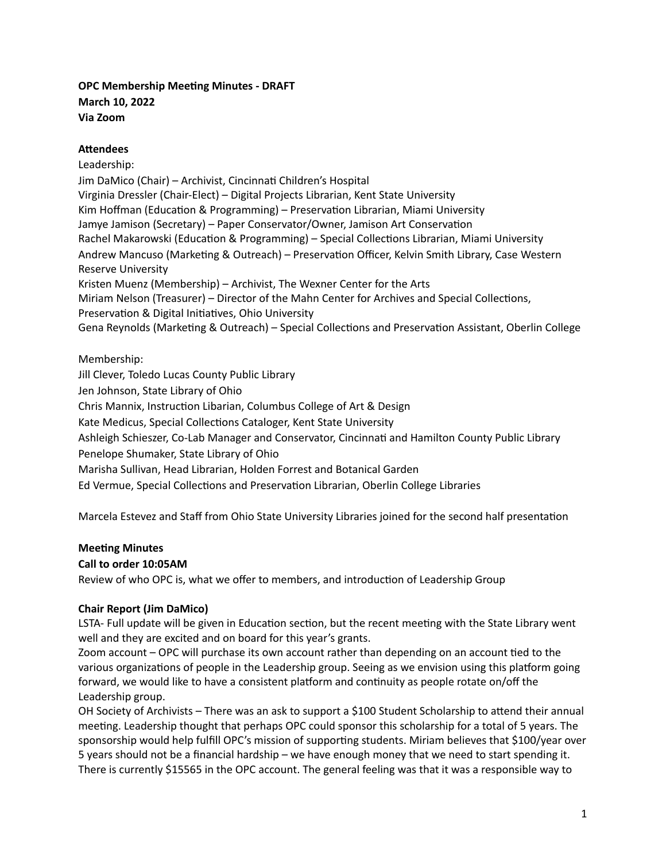# **OPC Membership Meeng Minutes - DRAFT March 10, 2022 Via Zoom**

## **Attendees**

Leadership: Jim DaMico (Chair) – Archivist, Cincinnati Children's Hospital Virginia Dressler (Chair-Elect) – Digital Projects Librarian, Kent State University Kim Hoffman (Education & Programming) – Preservation Librarian, Miami University Jamye Jamison (Secretary) – Paper Conservator/Owner, Jamison Art Conservation Rachel Makarowski (Education & Programming) – Special Collections Librarian, Miami University Andrew Mancuso (Marketing & Outreach) – Preservation Officer, Kelvin Smith Library, Case Western Reserve University Kristen Muenz (Membership) – Archivist, The Wexner Center for the Arts Miriam Nelson (Treasurer) – Director of the Mahn Center for Archives and Special Collections, Preservation & Digital Initiatives, Ohio University Gena Reynolds (Marketing & Outreach) – Special Collections and Preservation Assistant, Oberlin College

## Membership:

Jill Clever, Toledo Lucas County Public Library Jen Johnson, State Library of Ohio Chris Mannix, Instruction Libarian, Columbus College of Art & Design Kate Medicus, Special Collections Cataloger, Kent State University Ashleigh Schieszer, Co-Lab Manager and Conservator, Cincinnati and Hamilton County Public Library Penelope Shumaker, State Library of Ohio Marisha Sullivan, Head Librarian, Holden Forrest and Botanical Garden Ed Vermue, Special Collections and Preservation Librarian, Oberlin College Libraries

Marcela Estevez and Staff from Ohio State University Libraries joined for the second half presentation

## **Meeting Minutes**

## **Call to order 10:05AM**

Review of who OPC is, what we offer to members, and introduction of Leadership Group

## **Chair Report (Jim DaMico)**

LSTA- Full update will be given in Education section, but the recent meeting with the State Library went well and they are excited and on board for this year's grants.

Zoom account – OPC will purchase its own account rather than depending on an account tied to the various organizations of people in the Leadership group. Seeing as we envision using this platform going forward, we would like to have a consistent platform and continuity as people rotate on/off the Leadership group.

OH Society of Archivists – There was an ask to support a \$100 Student Scholarship to attend their annual meeting. Leadership thought that perhaps OPC could sponsor this scholarship for a total of 5 years. The sponsorship would help fulfill OPC's mission of supporting students. Miriam believes that \$100/year over 5 years should not be a financial hardship – we have enough money that we need to start spending it. There is currently \$15565 in the OPC account. The general feeling was that it was a responsible way to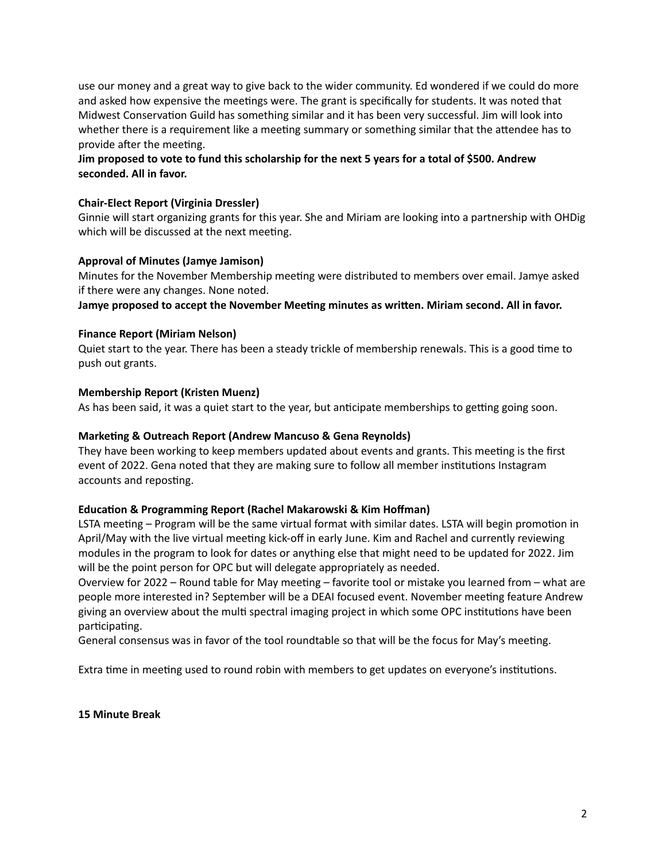use our money and a great way to give back to the wider community. Ed wondered if we could do more and asked how expensive the meetings were. The grant is specifically for students. It was noted that Midwest Conservation Guild has something similar and it has been very successful. Jim will look into whether there is a requirement like a meeting summary or something similar that the attendee has to provide after the meeting.

# Jim proposed to vote to fund this scholarship for the next 5 years for a total of \$500. Andrew **seconded. All in favor.**

## **Chair-Elect Report (Virginia Dressler)**

Ginnie will start organizing grants for this year. She and Miriam are looking into a partnership with OHDig which will be discussed at the next meeting.

#### **Approval of Minutes (Jamye Jamison)**

Minutes for the November Membership meeting were distributed to members over email. Jamye asked if there were any changes. None noted.

**Jamye proposed to accept the November Meeng minutes as wrien. Miriam second. All in favor.**

#### **Finance Report (Miriam Nelson)**

Quiet start to the year. There has been a steady trickle of membership renewals. This is a good time to push out grants.

#### **Membership Report (Kristen Muenz)**

As has been said, it was a quiet start to the year, but anticipate memberships to getting going soon.

#### **Markeng & Outreach Report (Andrew Mancuso & Gena Reynolds)**

They have been working to keep members updated about events and grants. This meeting is the first event of 2022. Gena noted that they are making sure to follow all member institutions Instagram accounts and reposting.

## **Educaon & Programming Report (Rachel Makarowski & Kim Hoffman)**

LSTA meeting - Program will be the same virtual format with similar dates. LSTA will begin promotion in April/May with the live virtual meeting kick-off in early June. Kim and Rachel and currently reviewing modules in the program to look for dates or anything else that might need to be updated for 2022. Jim will be the point person for OPC but will delegate appropriately as needed.

Overview for 2022 – Round table for May meeting – favorite tool or mistake you learned from – what are people more interested in? September will be a DEAI focused event. November meeting feature Andrew giving an overview about the multi spectral imaging project in which some OPC institutions have been participating.

General consensus was in favor of the tool roundtable so that will be the focus for May's meeting.

Extra time in meeting used to round robin with members to get updates on everyone's institutions.

**15 Minute Break**